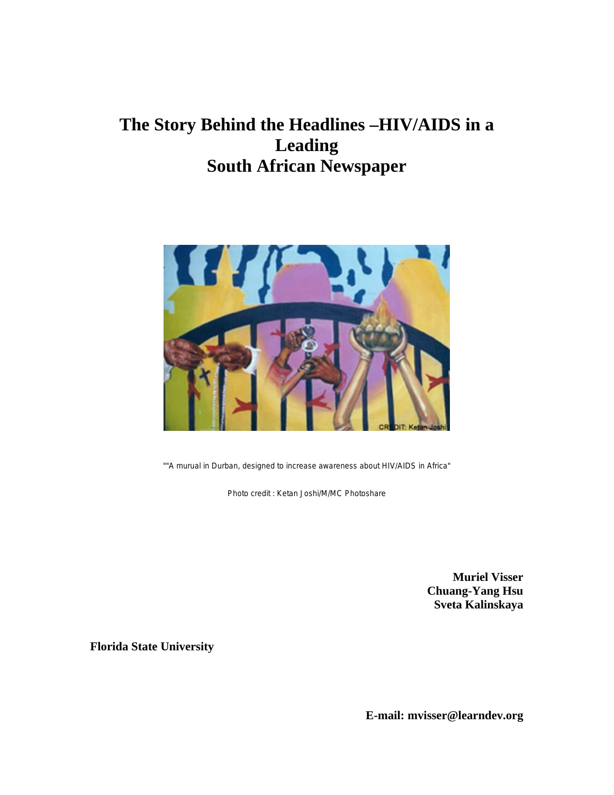# **The Story Behind the Headlines –HIV/AIDS in a Leading South African Newspaper**



""A murual in Durban, designed to increase awareness about HIV/AIDS in Africa"

Photo credit : Ketan Joshi/M/MC Photoshare

**Muriel Visser Chuang-Yang Hsu Sveta Kalinskaya**

**Florida State University**

**E-mail: mvisser@learndev.org**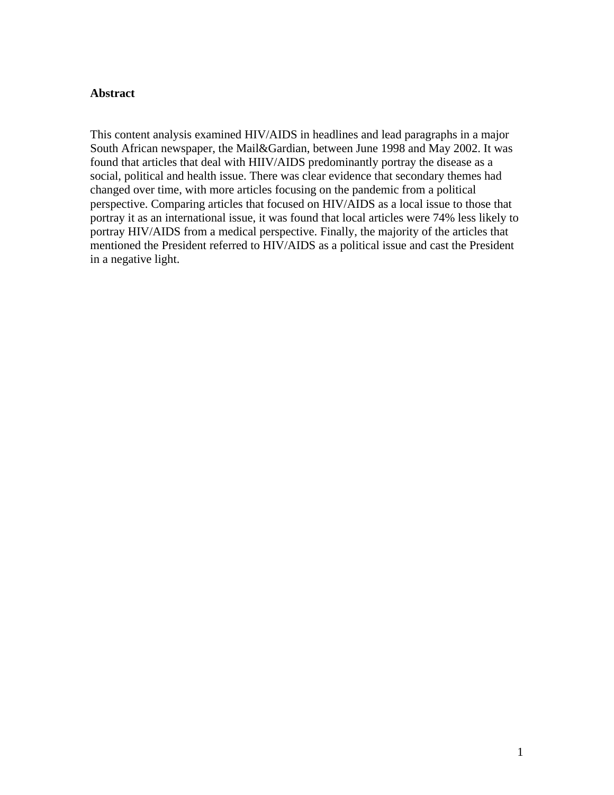#### **Abstract**

This content analysis examined HIV/AIDS in headlines and lead paragraphs in a major South African newspaper, the Mail&Gardian, between June 1998 and May 2002. It was found that articles that deal with HIIV/AIDS predominantly portray the disease as a social, political and health issue. There was clear evidence that secondary themes had changed over time, with more articles focusing on the pandemic from a political perspective. Comparing articles that focused on HIV/AIDS as a local issue to those that portray it as an international issue, it was found that local articles were 74% less likely to portray HIV/AIDS from a medical perspective. Finally, the majority of the articles that mentioned the President referred to HIV/AIDS as a political issue and cast the President in a negative light.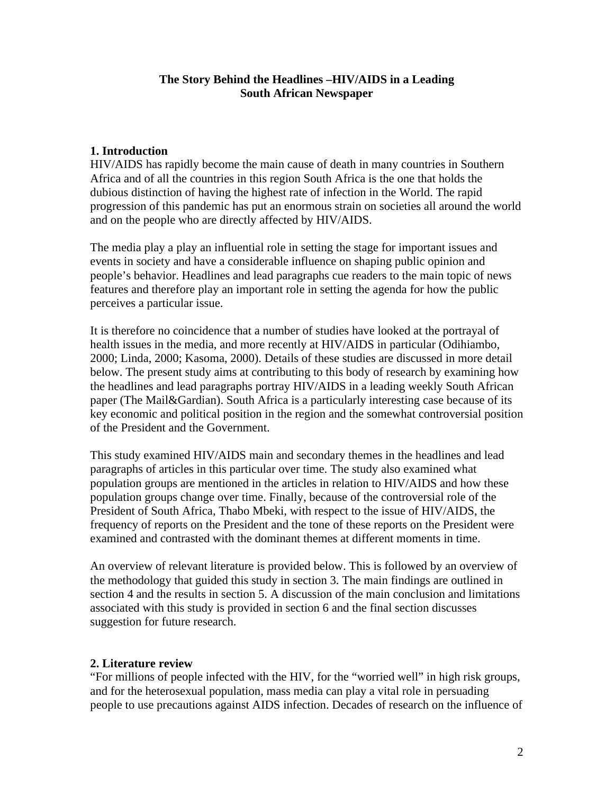#### **The Story Behind the Headlines –HIV/AIDS in a Leading South African Newspaper**

#### **1. Introduction**

HIV/AIDS has rapidly become the main cause of death in many countries in Southern Africa and of all the countries in this region South Africa is the one that holds the dubious distinction of having the highest rate of infection in the World. The rapid progression of this pandemic has put an enormous strain on societies all around the world and on the people who are directly affected by HIV/AIDS.

The media play a play an influential role in setting the stage for important issues and events in society and have a considerable influence on shaping public opinion and people's behavior. Headlines and lead paragraphs cue readers to the main topic of news features and therefore play an important role in setting the agenda for how the public perceives a particular issue.

It is therefore no coincidence that a number of studies have looked at the portrayal of health issues in the media, and more recently at HIV/AIDS in particular (Odihiambo, 2000; Linda, 2000; Kasoma, 2000). Details of these studies are discussed in more detail below. The present study aims at contributing to this body of research by examining how the headlines and lead paragraphs portray HIV/AIDS in a leading weekly South African paper (The Mail&Gardian). South Africa is a particularly interesting case because of its key economic and political position in the region and the somewhat controversial position of the President and the Government.

This study examined HIV/AIDS main and secondary themes in the headlines and lead paragraphs of articles in this particular over time. The study also examined what population groups are mentioned in the articles in relation to HIV/AIDS and how these population groups change over time. Finally, because of the controversial role of the President of South Africa, Thabo Mbeki, with respect to the issue of HIV/AIDS, the frequency of reports on the President and the tone of these reports on the President were examined and contrasted with the dominant themes at different moments in time.

An overview of relevant literature is provided below. This is followed by an overview of the methodology that guided this study in section 3. The main findings are outlined in section 4 and the results in section 5. A discussion of the main conclusion and limitations associated with this study is provided in section 6 and the final section discusses suggestion for future research.

#### **2. Literature review**

"For millions of people infected with the HIV, for the "worried well" in high risk groups, and for the heterosexual population, mass media can play a vital role in persuading people to use precautions against AIDS infection. Decades of research on the influence of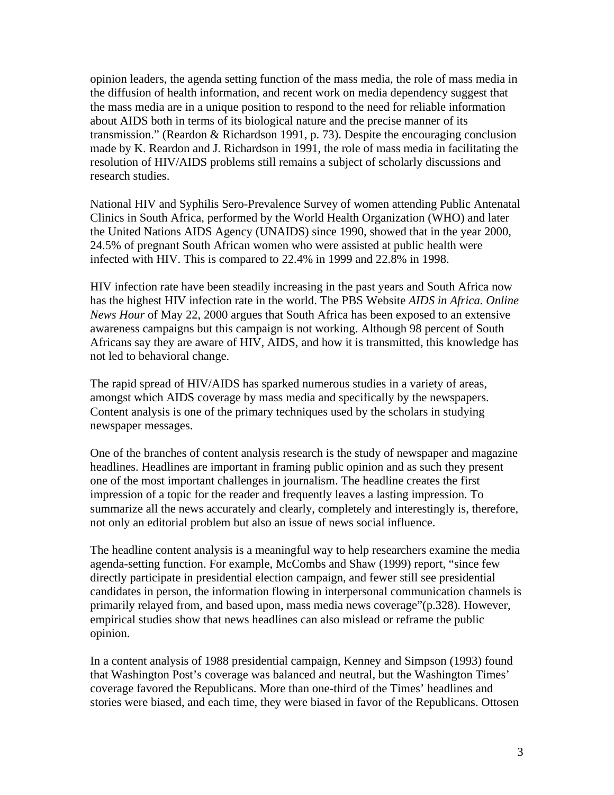opinion leaders, the agenda setting function of the mass media, the role of mass media in the diffusion of health information, and recent work on media dependency suggest that the mass media are in a unique position to respond to the need for reliable information about AIDS both in terms of its biological nature and the precise manner of its transmission." (Reardon & Richardson 1991, p. 73). Despite the encouraging conclusion made by K. Reardon and J. Richardson in 1991, the role of mass media in facilitating the resolution of HIV/AIDS problems still remains a subject of scholarly discussions and research studies.

National HIV and Syphilis Sero-Prevalence Survey of women attending Public Antenatal Clinics in South Africa, performed by the World Health Organization (WHO) and later the United Nations AIDS Agency (UNAIDS) since 1990, showed that in the year 2000, 24.5% of pregnant South African women who were assisted at public health were infected with HIV. This is compared to 22.4% in 1999 and 22.8% in 1998.

HIV infection rate have been steadily increasing in the past years and South Africa now has the highest HIV infection rate in the world. The PBS Website *AIDS in Africa. Online News Hour* of May 22, 2000 argues that South Africa has been exposed to an extensive awareness campaigns but this campaign is not working. Although 98 percent of South Africans say they are aware of HIV, AIDS, and how it is transmitted, this knowledge has not led to behavioral change.

The rapid spread of HIV/AIDS has sparked numerous studies in a variety of areas, amongst which AIDS coverage by mass media and specifically by the newspapers. Content analysis is one of the primary techniques used by the scholars in studying newspaper messages.

One of the branches of content analysis research is the study of newspaper and magazine headlines. Headlines are important in framing public opinion and as such they present one of the most important challenges in journalism. The headline creates the first impression of a topic for the reader and frequently leaves a lasting impression. To summarize all the news accurately and clearly, completely and interestingly is, therefore, not only an editorial problem but also an issue of news social influence.

The headline content analysis is a meaningful way to help researchers examine the media agenda-setting function. For example, McCombs and Shaw (1999) report, "since few directly participate in presidential election campaign, and fewer still see presidential candidates in person, the information flowing in interpersonal communication channels is primarily relayed from, and based upon, mass media news coverage"(p.328). However, empirical studies show that news headlines can also mislead or reframe the public opinion.

In a content analysis of 1988 presidential campaign, Kenney and Simpson (1993) found that Washington Post's coverage was balanced and neutral, but the Washington Times' coverage favored the Republicans. More than one-third of the Times' headlines and stories were biased, and each time, they were biased in favor of the Republicans. Ottosen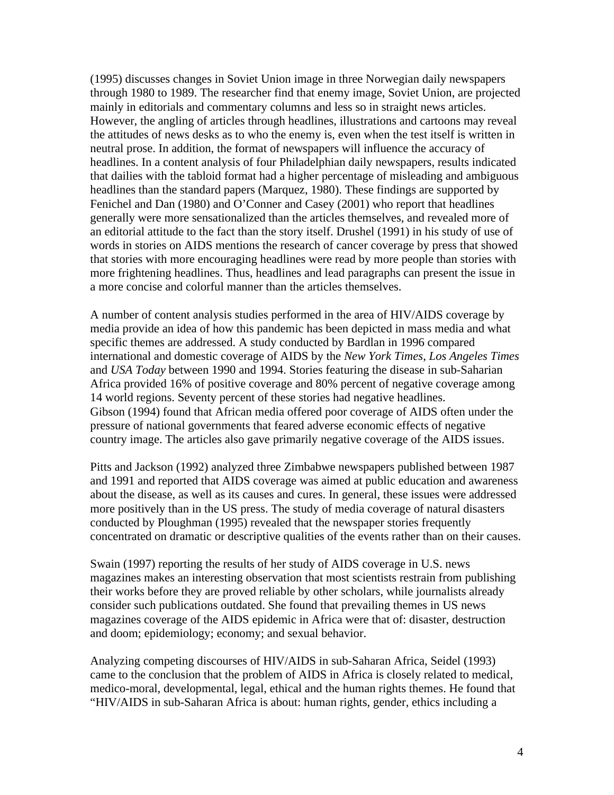(1995) discusses changes in Soviet Union image in three Norwegian daily newspapers through 1980 to 1989. The researcher find that enemy image, Soviet Union, are projected mainly in editorials and commentary columns and less so in straight news articles. However, the angling of articles through headlines, illustrations and cartoons may reveal the attitudes of news desks as to who the enemy is, even when the test itself is written in neutral prose. In addition, the format of newspapers will influence the accuracy of headlines. In a content analysis of four Philadelphian daily newspapers, results indicated that dailies with the tabloid format had a higher percentage of misleading and ambiguous headlines than the standard papers (Marquez, 1980). These findings are supported by Fenichel and Dan (1980) and O'Conner and Casey (2001) who report that headlines generally were more sensationalized than the articles themselves, and revealed more of an editorial attitude to the fact than the story itself. Drushel (1991) in his study of use of words in stories on AIDS mentions the research of cancer coverage by press that showed that stories with more encouraging headlines were read by more people than stories with more frightening headlines. Thus, headlines and lead paragraphs can present the issue in a more concise and colorful manner than the articles themselves.

A number of content analysis studies performed in the area of HIV/AIDS coverage by media provide an idea of how this pandemic has been depicted in mass media and what specific themes are addressed. A study conducted by Bardlan in 1996 compared international and domestic coverage of AIDS by the *New York Times*, *Los Angeles Times* and *USA Today* between 1990 and 1994. Stories featuring the disease in sub-Saharian Africa provided 16% of positive coverage and 80% percent of negative coverage among 14 world regions. Seventy percent of these stories had negative headlines. Gibson (1994) found that African media offered poor coverage of AIDS often under the pressure of national governments that feared adverse economic effects of negative country image. The articles also gave primarily negative coverage of the AIDS issues.

Pitts and Jackson (1992) analyzed three Zimbabwe newspapers published between 1987 and 1991 and reported that AIDS coverage was aimed at public education and awareness about the disease, as well as its causes and cures. In general, these issues were addressed more positively than in the US press. The study of media coverage of natural disasters conducted by Ploughman (1995) revealed that the newspaper stories frequently concentrated on dramatic or descriptive qualities of the events rather than on their causes.

Swain (1997) reporting the results of her study of AIDS coverage in U.S. news magazines makes an interesting observation that most scientists restrain from publishing their works before they are proved reliable by other scholars, while journalists already consider such publications outdated. She found that prevailing themes in US news magazines coverage of the AIDS epidemic in Africa were that of: disaster, destruction and doom; epidemiology; economy; and sexual behavior.

Analyzing competing discourses of HIV/AIDS in sub-Saharan Africa, Seidel (1993) came to the conclusion that the problem of AIDS in Africa is closely related to medical, medico-moral, developmental, legal, ethical and the human rights themes. He found that "HIV/AIDS in sub-Saharan Africa is about: human rights, gender, ethics including a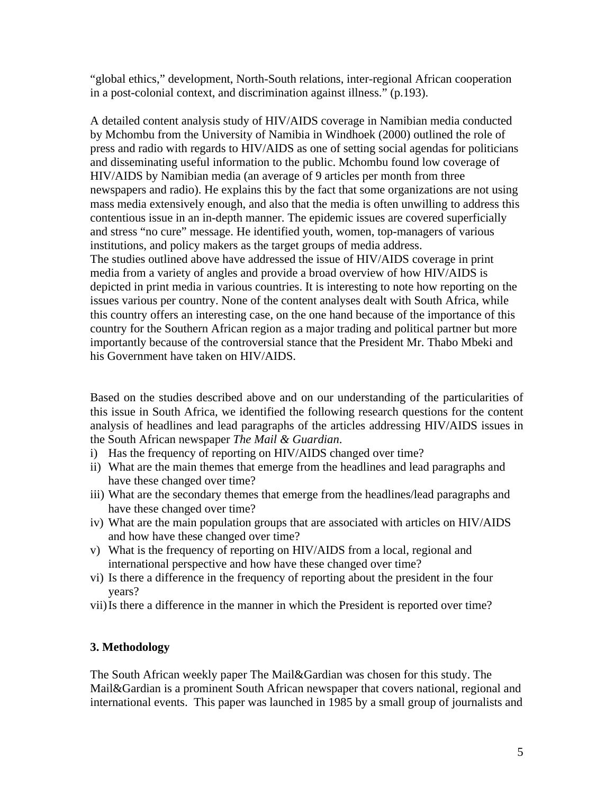"global ethics," development, North-South relations, inter-regional African cooperation in a post-colonial context, and discrimination against illness." (p.193).

A detailed content analysis study of HIV/AIDS coverage in Namibian media conducted by Mchombu from the University of Namibia in Windhoek (2000) outlined the role of press and radio with regards to HIV/AIDS as one of setting social agendas for politicians and disseminating useful information to the public. Mchombu found low coverage of HIV/AIDS by Namibian media (an average of 9 articles per month from three newspapers and radio). He explains this by the fact that some organizations are not using mass media extensively enough, and also that the media is often unwilling to address this contentious issue in an in-depth manner. The epidemic issues are covered superficially and stress "no cure" message. He identified youth, women, top-managers of various institutions, and policy makers as the target groups of media address. The studies outlined above have addressed the issue of HIV/AIDS coverage in print media from a variety of angles and provide a broad overview of how HIV/AIDS is depicted in print media in various countries. It is interesting to note how reporting on the issues various per country. None of the content analyses dealt with South Africa, while this country offers an interesting case, on the one hand because of the importance of this country for the Southern African region as a major trading and political partner but more importantly because of the controversial stance that the President Mr. Thabo Mbeki and his Government have taken on HIV/AIDS.

Based on the studies described above and on our understanding of the particularities of this issue in South Africa, we identified the following research questions for the content analysis of headlines and lead paragraphs of the articles addressing HIV/AIDS issues in the South African newspaper *The Mail & Guardian*.

- i) Has the frequency of reporting on HIV/AIDS changed over time?
- ii) What are the main themes that emerge from the headlines and lead paragraphs and have these changed over time?
- iii) What are the secondary themes that emerge from the headlines/lead paragraphs and have these changed over time?
- iv) What are the main population groups that are associated with articles on HIV/AIDS and how have these changed over time?
- v) What is the frequency of reporting on HIV/AIDS from a local, regional and international perspective and how have these changed over time?
- vi) Is there a difference in the frequency of reporting about the president in the four years?
- vii)Is there a difference in the manner in which the President is reported over time?

# **3. Methodology**

The South African weekly paper The Mail&Gardian was chosen for this study. The Mail&Gardian is a prominent South African newspaper that covers national, regional and international events. This paper was launched in 1985 by a small group of journalists and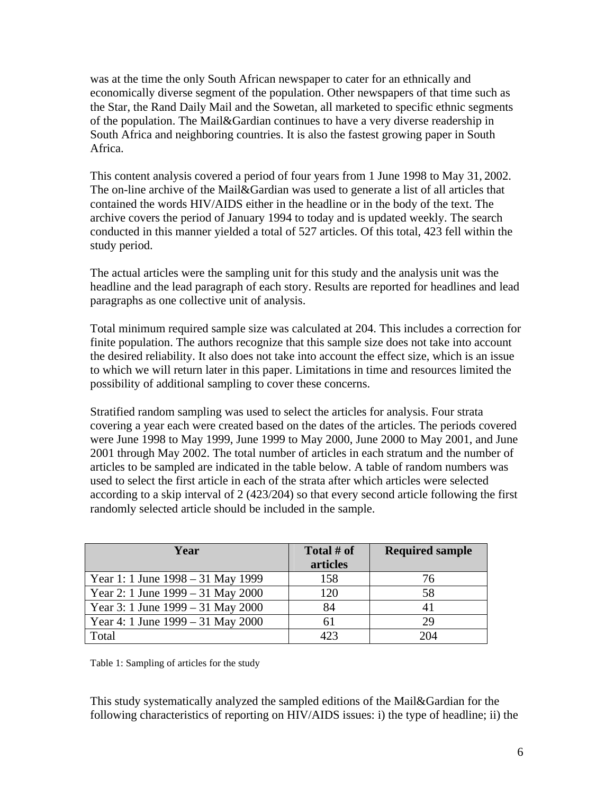was at the time the only South African newspaper to cater for an ethnically and economically diverse segment of the population. Other newspapers of that time such as the Star, the Rand Daily Mail and the Sowetan, all marketed to specific ethnic segments of the population. The Mail&Gardian continues to have a very diverse readership in South Africa and neighboring countries. It is also the fastest growing paper in South Africa.

This content analysis covered a period of four years from 1 June 1998 to May 31, 2002. The on-line archive of the Mail&Gardian was used to generate a list of all articles that contained the words HIV/AIDS either in the headline or in the body of the text. The archive covers the period of January 1994 to today and is updated weekly. The search conducted in this manner yielded a total of 527 articles. Of this total, 423 fell within the study period.

The actual articles were the sampling unit for this study and the analysis unit was the headline and the lead paragraph of each story. Results are reported for headlines and lead paragraphs as one collective unit of analysis.

Total minimum required sample size was calculated at 204. This includes a correction for finite population. The authors recognize that this sample size does not take into account the desired reliability. It also does not take into account the effect size, which is an issue to which we will return later in this paper. Limitations in time and resources limited the possibility of additional sampling to cover these concerns.

Stratified random sampling was used to select the articles for analysis. Four strata covering a year each were created based on the dates of the articles. The periods covered were June 1998 to May 1999, June 1999 to May 2000, June 2000 to May 2001, and June 2001 through May 2002. The total number of articles in each stratum and the number of articles to be sampled are indicated in the table below. A table of random numbers was used to select the first article in each of the strata after which articles were selected according to a skip interval of 2 (423/204) so that every second article following the first randomly selected article should be included in the sample.

| Year                                  | Total # of<br>articles | <b>Required sample</b> |
|---------------------------------------|------------------------|------------------------|
| Year 1: 1 June $1998 - 31$ May 1999   | 158                    | 76                     |
| Year 2: 1 June 1999 – 31 May 2000     | 120                    | 58                     |
| Year 3: 1 June $1999 - 31$ May $2000$ | 84                     |                        |
| Year 4: 1 June $1999 - 31$ May $2000$ | 61                     | 29                     |
| Total                                 | 423                    | 204                    |

Table 1: Sampling of articles for the study

This study systematically analyzed the sampled editions of the Mail&Gardian for the following characteristics of reporting on HIV/AIDS issues: i) the type of headline; ii) the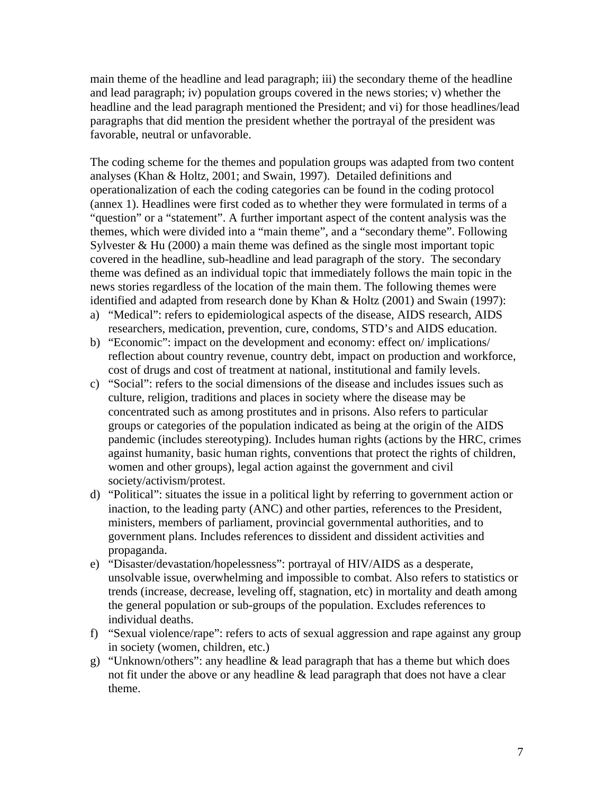main theme of the headline and lead paragraph; iii) the secondary theme of the headline and lead paragraph; iv) population groups covered in the news stories; v) whether the headline and the lead paragraph mentioned the President; and vi) for those headlines/lead paragraphs that did mention the president whether the portrayal of the president was favorable, neutral or unfavorable.

The coding scheme for the themes and population groups was adapted from two content analyses (Khan & Holtz, 2001; and Swain, 1997). Detailed definitions and operationalization of each the coding categories can be found in the coding protocol (annex 1). Headlines were first coded as to whether they were formulated in terms of a "question" or a "statement". A further important aspect of the content analysis was the themes, which were divided into a "main theme", and a "secondary theme". Following Sylvester & Hu (2000) a main theme was defined as the single most important topic covered in the headline, sub-headline and lead paragraph of the story. The secondary theme was defined as an individual topic that immediately follows the main topic in the news stories regardless of the location of the main them. The following themes were identified and adapted from research done by Khan & Holtz (2001) and Swain (1997):

- a) "Medical": refers to epidemiological aspects of the disease, AIDS research, AIDS researchers, medication, prevention, cure, condoms, STD's and AIDS education.
- b) "Economic": impact on the development and economy: effect on/ implications/ reflection about country revenue, country debt, impact on production and workforce, cost of drugs and cost of treatment at national, institutional and family levels.
- c) "Social": refers to the social dimensions of the disease and includes issues such as culture, religion, traditions and places in society where the disease may be concentrated such as among prostitutes and in prisons. Also refers to particular groups or categories of the population indicated as being at the origin of the AIDS pandemic (includes stereotyping). Includes human rights (actions by the HRC, crimes against humanity, basic human rights, conventions that protect the rights of children, women and other groups), legal action against the government and civil society/activism/protest.
- d) "Political": situates the issue in a political light by referring to government action or inaction, to the leading party (ANC) and other parties, references to the President, ministers, members of parliament, provincial governmental authorities, and to government plans. Includes references to dissident and dissident activities and propaganda.
- e) "Disaster/devastation/hopelessness": portrayal of HIV/AIDS as a desperate, unsolvable issue, overwhelming and impossible to combat. Also refers to statistics or trends (increase, decrease, leveling off, stagnation, etc) in mortality and death among the general population or sub-groups of the population. Excludes references to individual deaths.
- f) "Sexual violence/rape": refers to acts of sexual aggression and rape against any group in society (women, children, etc.)
- g) "Unknown/others": any headline  $&$  lead paragraph that has a theme but which does not fit under the above or any headline & lead paragraph that does not have a clear theme.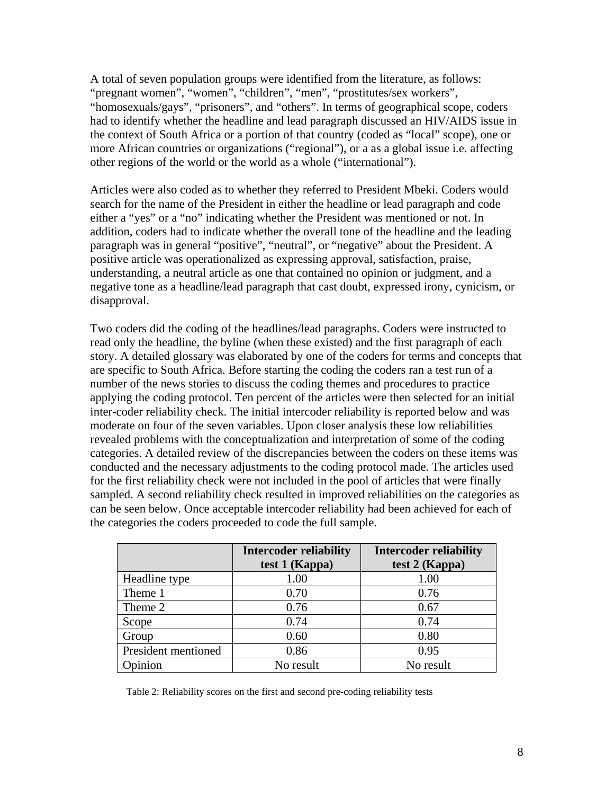A total of seven population groups were identified from the literature, as follows: "pregnant women", "women", "children", "men", "prostitutes/sex workers", "homosexuals/gays", "prisoners", and "others". In terms of geographical scope, coders had to identify whether the headline and lead paragraph discussed an HIV/AIDS issue in the context of South Africa or a portion of that country (coded as "local" scope), one or more African countries or organizations ("regional"), or a as a global issue i.e. affecting other regions of the world or the world as a whole ("international").

Articles were also coded as to whether they referred to President Mbeki. Coders would search for the name of the President in either the headline or lead paragraph and code either a "yes" or a "no" indicating whether the President was mentioned or not. In addition, coders had to indicate whether the overall tone of the headline and the leading paragraph was in general "positive", "neutral", or "negative" about the President. A positive article was operationalized as expressing approval, satisfaction, praise, understanding, a neutral article as one that contained no opinion or judgment, and a negative tone as a headline/lead paragraph that cast doubt, expressed irony, cynicism, or disapproval.

Two coders did the coding of the headlines/lead paragraphs. Coders were instructed to read only the headline, the byline (when these existed) and the first paragraph of each story. A detailed glossary was elaborated by one of the coders for terms and concepts that are specific to South Africa. Before starting the coding the coders ran a test run of a number of the news stories to discuss the coding themes and procedures to practice applying the coding protocol. Ten percent of the articles were then selected for an initial inter-coder reliability check. The initial intercoder reliability is reported below and was moderate on four of the seven variables. Upon closer analysis these low reliabilities revealed problems with the conceptualization and interpretation of some of the coding categories. A detailed review of the discrepancies between the coders on these items was conducted and the necessary adjustments to the coding protocol made. The articles used for the first reliability check were not included in the pool of articles that were finally sampled. A second reliability check resulted in improved reliabilities on the categories as can be seen below. Once acceptable intercoder reliability had been achieved for each of the categories the coders proceeded to code the full sample.

|                     | <b>Intercoder reliability</b><br>test 1 (Kappa) | <b>Intercoder reliability</b><br>test 2 (Kappa) |
|---------------------|-------------------------------------------------|-------------------------------------------------|
| Headline type       | 1.00                                            | 1.00                                            |
| Theme 1             | 0.70                                            | 0.76                                            |
| Theme 2             | 0.76                                            | 0.67                                            |
| Scope               | 0.74                                            | 0.74                                            |
| Group               | 0.60                                            | 0.80                                            |
| President mentioned | 0.86                                            | 0.95                                            |
| Opinion             | No result                                       | No result                                       |

Table 2: Reliability scores on the first and second pre-coding reliability tests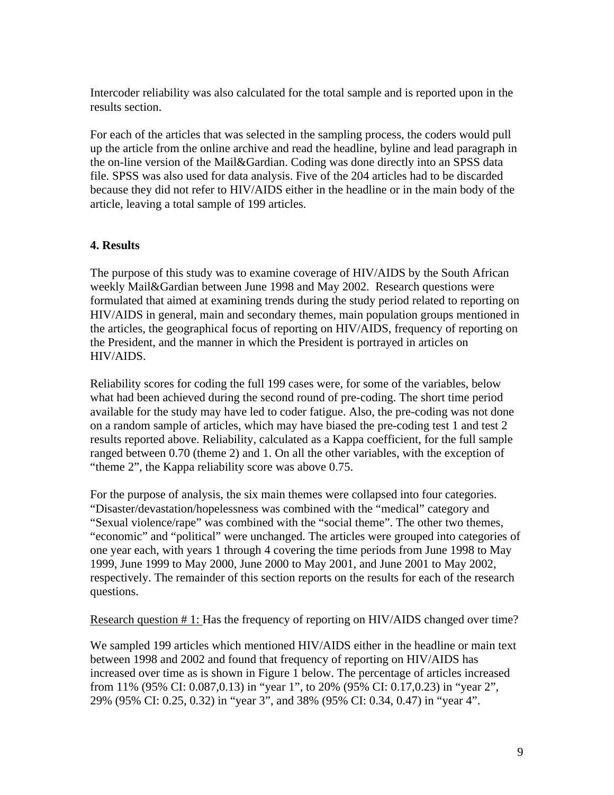Intercoder reliability was also calculated for the total sample and is reported upon in the results section.

For each of the articles that was selected in the sampling process, the coders would pull up the article from the online archive and read the headline, byline and lead paragraph in the on-line version of the Mail&Gardian. Coding was done directly into an SPSS data file. SPSS was also used for data analysis. Five of the 204 articles had to be discarded because they did not refer to HIV/AIDS either in the headline or in the main body of the article, leaving a total sample of 199 articles.

# **4. Results**

The purpose of this study was to examine coverage of HIV/AIDS by the South African weekly Mail&Gardian between June 1998 and May 2002. Research questions were formulated that aimed at examining trends during the study period related to reporting on HIV/AIDS in general, main and secondary themes, main population groups mentioned in the articles, the geographical focus of reporting on HIV/AIDS, frequency of reporting on the President, and the manner in which the President is portrayed in articles on HIV/AIDS.

Reliability scores for coding the full 199 cases were, for some of the variables, below what had been achieved during the second round of pre-coding. The short time period available for the study may have led to coder fatigue. Also, the pre-coding was not done on a random sample of articles, which may have biased the pre-coding test 1 and test 2 results reported above. Reliability, calculated as a Kappa coefficient, for the full sample ranged between 0.70 (theme 2) and 1. On all the other variables, with the exception of "theme 2", the Kappa reliability score was above 0.75.

For the purpose of analysis, the six main themes were collapsed into four categories. "Disaster/devastation/hopelessness was combined with the "medical" category and "Sexual violence/rape" was combined with the "social theme". The other two themes, "economic" and "political" were unchanged. The articles were grouped into categories of one year each, with years 1 through 4 covering the time periods from June 1998 to May 1999, June 1999 to May 2000, June 2000 to May 2001, and June 2001 to May 2002, respectively. The remainder of this section reports on the results for each of the research questions.

Research question # 1: Has the frequency of reporting on HIV/AIDS changed over time?

We sampled 199 articles which mentioned HIV/AIDS either in the headline or main text between 1998 and 2002 and found that frequency of reporting on HIV/AIDS has increased over time as is shown in Figure 1 below. The percentage of articles increased from 11% (95% CI: 0.087,0.13) in "year 1", to 20% (95% CI: 0.17,0.23) in "year 2", 29% (95% CI: 0.25, 0.32) in "year 3", and 38% (95% CI: 0.34, 0.47) in "year 4".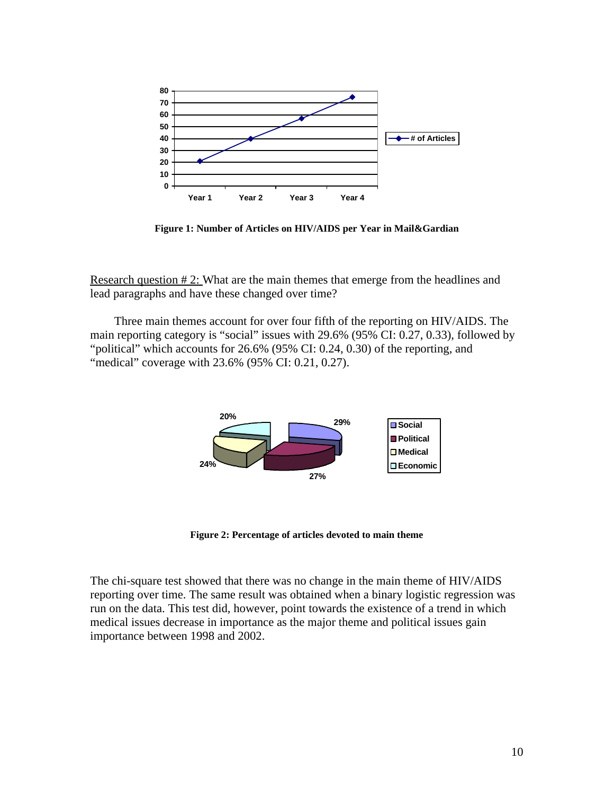

**Figure 1: Number of Articles on HIV/AIDS per Year in Mail&Gardian**

Research question # 2: What are the main themes that emerge from the headlines and lead paragraphs and have these changed over time?

Three main themes account for over four fifth of the reporting on HIV/AIDS. The main reporting category is "social" issues with 29.6% (95% CI: 0.27, 0.33), followed by "political" which accounts for 26.6% (95% CI: 0.24, 0.30) of the reporting, and "medical" coverage with 23.6% (95% CI: 0.21, 0.27).



**Figure 2: Percentage of articles devoted to main theme**

The chi-square test showed that there was no change in the main theme of HIV/AIDS reporting over time. The same result was obtained when a binary logistic regression was run on the data. This test did, however, point towards the existence of a trend in which medical issues decrease in importance as the major theme and political issues gain importance between 1998 and 2002.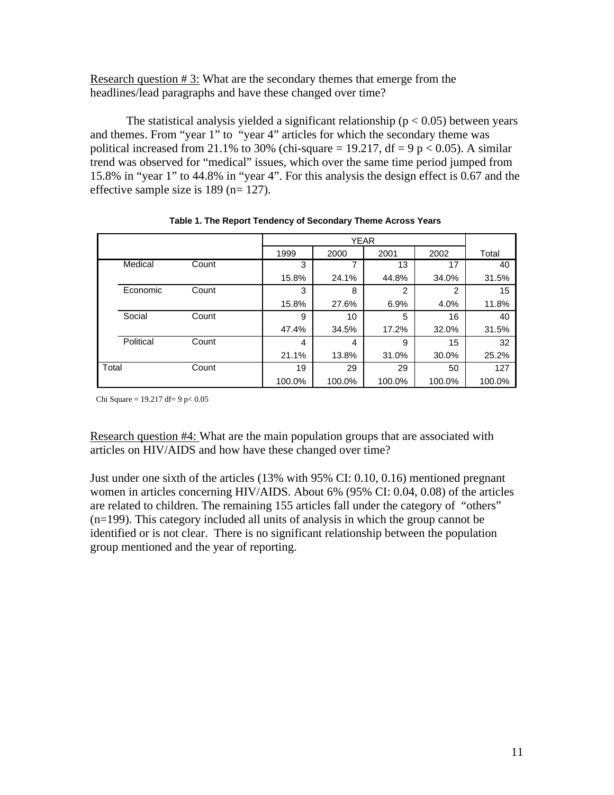Research question  $# 3$ : What are the secondary themes that emerge from the headlines/lead paragraphs and have these changed over time?

The statistical analysis yielded a significant relationship ( $p < 0.05$ ) between years and themes. From "year 1" to "year 4" articles for which the secondary theme was political increased from 21.1% to 30% (chi-square = 19.217, df = 9 p < 0.05). A similar trend was observed for "medical" issues, which over the same time period jumped from 15.8% in "year 1" to 44.8% in "year 4". For this analysis the design effect is 0.67 and the effective sample size is 189 (n= 127).

|       |           |       | <b>YEAR</b>    |        |                |                |        |
|-------|-----------|-------|----------------|--------|----------------|----------------|--------|
|       |           |       | 1999           | 2000   | 2001           | 2002           | Total  |
|       | Medical   | Count | 3              | 7      | 13             | 17             | 40     |
|       |           |       | 15.8%          | 24.1%  | 44.8%          | 34.0%          | 31.5%  |
|       | Economic  | Count | 3              | 8      | $\overline{2}$ | $\overline{2}$ | 15     |
|       |           |       | 15.8%          | 27.6%  | 6.9%           | 4.0%           | 11.8%  |
|       | Social    | Count | 9              | 10     | 5              | 16             | 40     |
|       |           |       | 47.4%          | 34.5%  | 17.2%          | 32.0%          | 31.5%  |
|       | Political | Count | $\overline{4}$ | 4      | 9              | 15             | 32     |
|       |           |       | 21.1%          | 13.8%  | 31.0%          | 30.0%          | 25.2%  |
| Total |           | Count | 19             | 29     | 29             | 50             | 127    |
|       |           |       | 100.0%         | 100.0% | 100.0%         | 100.0%         | 100.0% |

**Table 1. The Report Tendency of Secondary Theme Across Years**

Chi Square =  $19.217$  df=  $9$  p<  $0.05$ 

Research question #4: What are the main population groups that are associated with articles on HIV/AIDS and how have these changed over time?

Just under one sixth of the articles (13% with 95% CI: 0.10, 0.16) mentioned pregnant women in articles concerning HIV/AIDS. About 6% (95% CI: 0.04, 0.08) of the articles are related to children. The remaining 155 articles fall under the category of "others" (n=199). This category included all units of analysis in which the group cannot be identified or is not clear. There is no significant relationship between the population group mentioned and the year of reporting.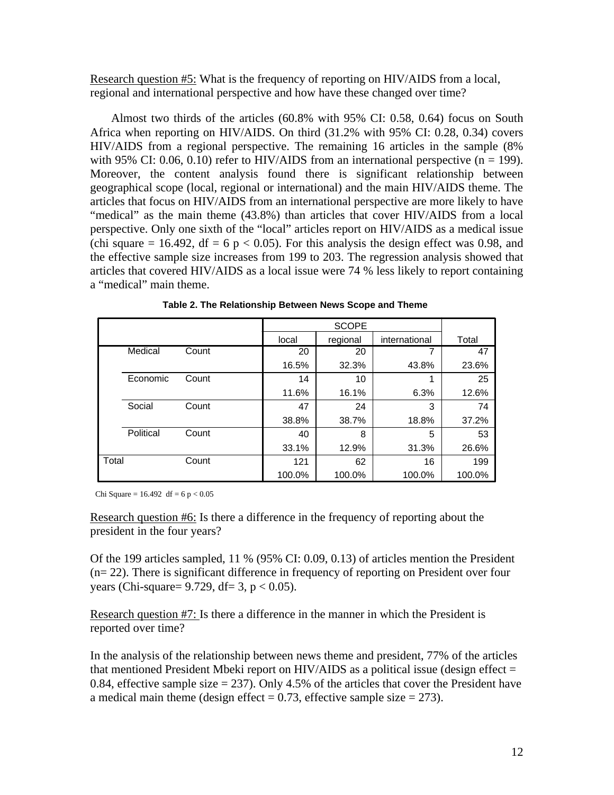Research question #5: What is the frequency of reporting on HIV/AIDS from a local, regional and international perspective and how have these changed over time?

 Almost two thirds of the articles (60.8% with 95% CI: 0.58, 0.64) focus on South Africa when reporting on HIV/AIDS. On third (31.2% with 95% CI: 0.28, 0.34) covers HIV/AIDS from a regional perspective. The remaining 16 articles in the sample (8% with 95% CI: 0.06, 0.10) refer to HIV/AIDS from an international perspective  $(n = 199)$ . Moreover, the content analysis found there is significant relationship between geographical scope (local, regional or international) and the main HIV/AIDS theme. The articles that focus on HIV/AIDS from an international perspective are more likely to have "medical" as the main theme (43.8%) than articles that cover HIV/AIDS from a local perspective. Only one sixth of the "local" articles report on HIV/AIDS as a medical issue (chi square  $= 16.492$ , df  $= 6$  p  $< 0.05$ ). For this analysis the design effect was 0.98, and the effective sample size increases from 199 to 203. The regression analysis showed that articles that covered HIV/AIDS as a local issue were 74 % less likely to report containing a "medical" main theme.

|       |           |       | local  | regional | international | Total  |
|-------|-----------|-------|--------|----------|---------------|--------|
|       | Medical   | Count | 20     | 20       |               | 47     |
|       |           |       | 16.5%  | 32.3%    | 43.8%         | 23.6%  |
|       | Economic  | Count | 14     | 10       | 1             | 25     |
|       |           |       | 11.6%  | 16.1%    | 6.3%          | 12.6%  |
|       | Social    | Count | 47     | 24       | 3             | 74     |
|       |           |       | 38.8%  | 38.7%    | 18.8%         | 37.2%  |
|       | Political | Count | 40     | 8        | 5             | 53     |
|       |           |       | 33.1%  | 12.9%    | 31.3%         | 26.6%  |
| Total |           | Count | 121    | 62       | 16            | 199    |
|       |           |       | 100.0% | 100.0%   | 100.0%        | 100.0% |

**Table 2. The Relationship Between News Scope and Theme**

Chi Square =  $16.492$  df =  $6 p < 0.05$ 

Research question #6: Is there a difference in the frequency of reporting about the president in the four years?

Of the 199 articles sampled, 11 % (95% CI: 0.09, 0.13) of articles mention the President (n= 22). There is significant difference in frequency of reporting on President over four years (Chi-square=  $9.729$ , df= 3, p < 0.05).

Research question #7: Is there a difference in the manner in which the President is reported over time?

In the analysis of the relationship between news theme and president, 77% of the articles that mentioned President Mbeki report on HIV/AIDS as a political issue (design effect  $=$ 0.84, effective sample size  $= 237$ ). Only 4.5% of the articles that cover the President have a medical main theme (design effect =  $0.73$ , effective sample size = 273).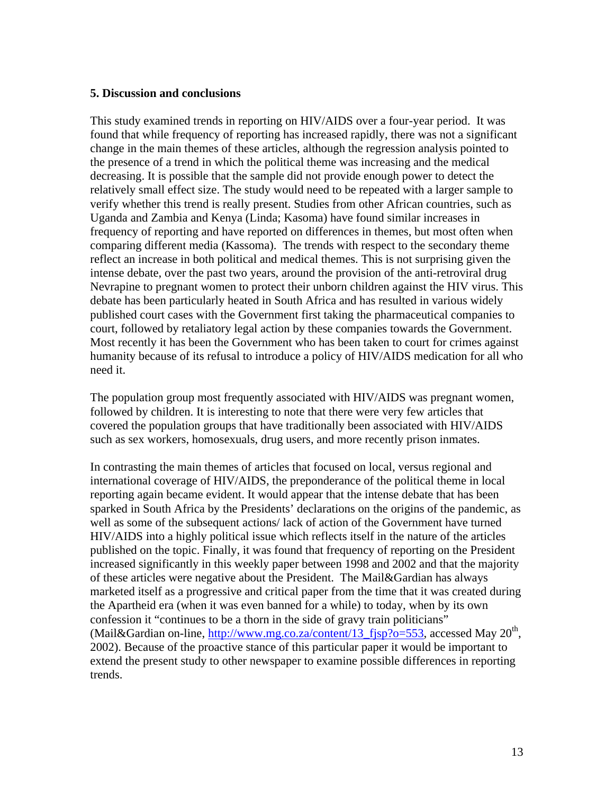#### **5. Discussion and conclusions**

This study examined trends in reporting on HIV/AIDS over a four-year period. It was found that while frequency of reporting has increased rapidly, there was not a significant change in the main themes of these articles, although the regression analysis pointed to the presence of a trend in which the political theme was increasing and the medical decreasing. It is possible that the sample did not provide enough power to detect the relatively small effect size. The study would need to be repeated with a larger sample to verify whether this trend is really present. Studies from other African countries, such as Uganda and Zambia and Kenya (Linda; Kasoma) have found similar increases in frequency of reporting and have reported on differences in themes, but most often when comparing different media (Kassoma). The trends with respect to the secondary theme reflect an increase in both political and medical themes. This is not surprising given the intense debate, over the past two years, around the provision of the anti-retroviral drug Nevrapine to pregnant women to protect their unborn children against the HIV virus. This debate has been particularly heated in South Africa and has resulted in various widely published court cases with the Government first taking the pharmaceutical companies to court, followed by retaliatory legal action by these companies towards the Government. Most recently it has been the Government who has been taken to court for crimes against humanity because of its refusal to introduce a policy of HIV/AIDS medication for all who need it.

The population group most frequently associated with HIV/AIDS was pregnant women, followed by children. It is interesting to note that there were very few articles that covered the population groups that have traditionally been associated with HIV/AIDS such as sex workers, homosexuals, drug users, and more recently prison inmates.

In contrasting the main themes of articles that focused on local, versus regional and international coverage of HIV/AIDS, the preponderance of the political theme in local reporting again became evident. It would appear that the intense debate that has been sparked in South Africa by the Presidents' declarations on the origins of the pandemic, as well as some of the subsequent actions/ lack of action of the Government have turned HIV/AIDS into a highly political issue which reflects itself in the nature of the articles published on the topic. Finally, it was found that frequency of reporting on the President increased significantly in this weekly paper between 1998 and 2002 and that the majority of these articles were negative about the President. The Mail&Gardian has always marketed itself as a progressive and critical paper from the time that it was created during the Apartheid era (when it was even banned for a while) to today, when by its own confession it "continues to be a thorn in the side of gravy train politicians" (Mail&Gardian on-line,  $\frac{http://www.mg.co.za/content/13_fisp?o=553}{http://www.mg.co.za/content/13_fisp?o=553}$ , accessed May 20<sup>th</sup>, 2002). Because of the proactive stance of this particular paper it would be important to extend the present study to other newspaper to examine possible differences in reporting trends.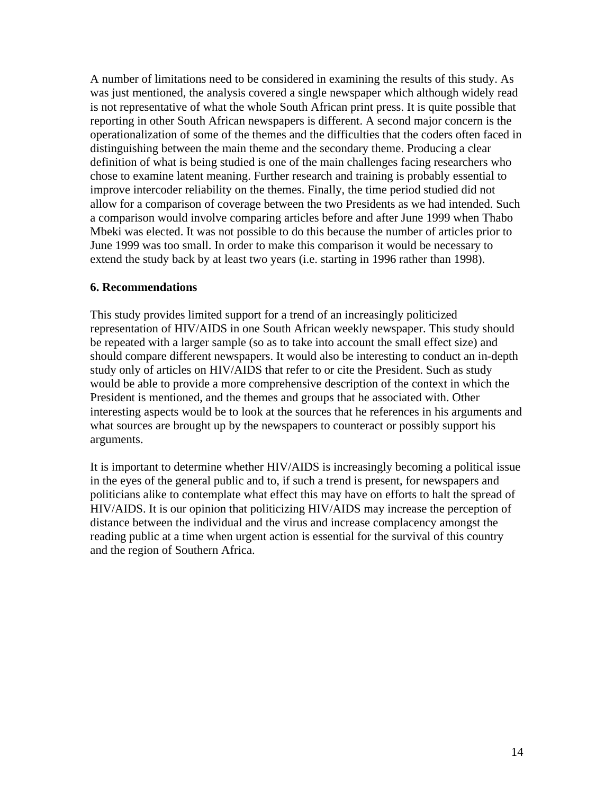A number of limitations need to be considered in examining the results of this study. As was just mentioned, the analysis covered a single newspaper which although widely read is not representative of what the whole South African print press. It is quite possible that reporting in other South African newspapers is different. A second major concern is the operationalization of some of the themes and the difficulties that the coders often faced in distinguishing between the main theme and the secondary theme. Producing a clear definition of what is being studied is one of the main challenges facing researchers who chose to examine latent meaning. Further research and training is probably essential to improve intercoder reliability on the themes. Finally, the time period studied did not allow for a comparison of coverage between the two Presidents as we had intended. Such a comparison would involve comparing articles before and after June 1999 when Thabo Mbeki was elected. It was not possible to do this because the number of articles prior to June 1999 was too small. In order to make this comparison it would be necessary to extend the study back by at least two years (i.e. starting in 1996 rather than 1998).

#### **6. Recommendations**

This study provides limited support for a trend of an increasingly politicized representation of HIV/AIDS in one South African weekly newspaper. This study should be repeated with a larger sample (so as to take into account the small effect size) and should compare different newspapers. It would also be interesting to conduct an in-depth study only of articles on HIV/AIDS that refer to or cite the President. Such as study would be able to provide a more comprehensive description of the context in which the President is mentioned, and the themes and groups that he associated with. Other interesting aspects would be to look at the sources that he references in his arguments and what sources are brought up by the newspapers to counteract or possibly support his arguments.

It is important to determine whether HIV/AIDS is increasingly becoming a political issue in the eyes of the general public and to, if such a trend is present, for newspapers and politicians alike to contemplate what effect this may have on efforts to halt the spread of HIV/AIDS. It is our opinion that politicizing HIV/AIDS may increase the perception of distance between the individual and the virus and increase complacency amongst the reading public at a time when urgent action is essential for the survival of this country and the region of Southern Africa.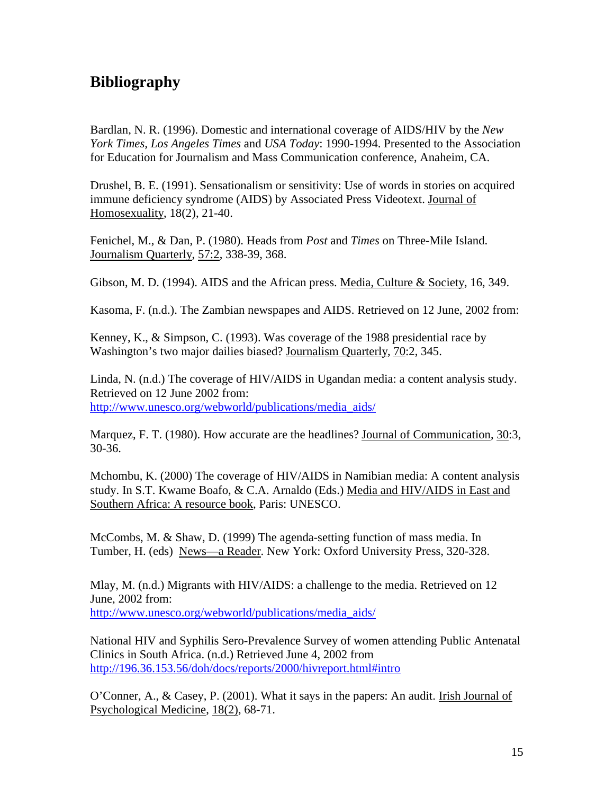# **Bibliography**

Bardlan, N. R. (1996). Domestic and international coverage of AIDS/HIV by the *New York Times, Los Angeles Times* and *USA Today*: 1990-1994. Presented to the Association for Education for Journalism and Mass Communication conference, Anaheim, CA.

Drushel, B. E. (1991). Sensationalism or sensitivity: Use of words in stories on acquired immune deficiency syndrome (AIDS) by Associated Press Videotext. Journal of Homosexuality, 18(2), 21-40.

Fenichel, M., & Dan, P. (1980). Heads from *Post* and *Times* on Three-Mile Island. Journalism Quarterly, 57:2, 338-39, 368.

Gibson, M. D. (1994). AIDS and the African press. Media, Culture & Society, 16, 349.

Kasoma, F. (n.d.). The Zambian newspapes and AIDS. Retrieved on 12 June, 2002 from:

Kenney, K., & Simpson, C. (1993). Was coverage of the 1988 presidential race by Washington's two major dailies biased? Journalism Quarterly, 70:2, 345.

Linda, N. (n.d.) The coverage of HIV/AIDS in Ugandan media: a content analysis study. Retrieved on 12 June 2002 from: http://www.unesco.org/webworld/publications/media\_aids/

Marquez, F. T. (1980). How accurate are the headlines? Journal of Communication, 30:3, 30-36.

Mchombu, K. (2000) The coverage of HIV/AIDS in Namibian media: A content analysis study. In S.T. Kwame Boafo, & C.A. Arnaldo (Eds.) Media and HIV/AIDS in East and Southern Africa: A resource book, Paris: UNESCO.

McCombs, M. & Shaw, D. (1999) The agenda-setting function of mass media. In Tumber, H. (eds) News—a Reader. New York: Oxford University Press, 320-328.

Mlay, M. (n.d.) Migrants with HIV/AIDS: a challenge to the media. Retrieved on 12 June, 2002 from: http://www.unesco.org/webworld/publications/media\_aids/

National HIV and Syphilis Sero-Prevalence Survey of women attending Public Antenatal Clinics in South Africa. (n.d.) Retrieved June 4, 2002 from http://196.36.153.56/doh/docs/reports/2000/hivreport.html#intro

O'Conner, A., & Casey, P. (2001). What it says in the papers: An audit. Irish Journal of Psychological Medicine, 18(2), 68-71.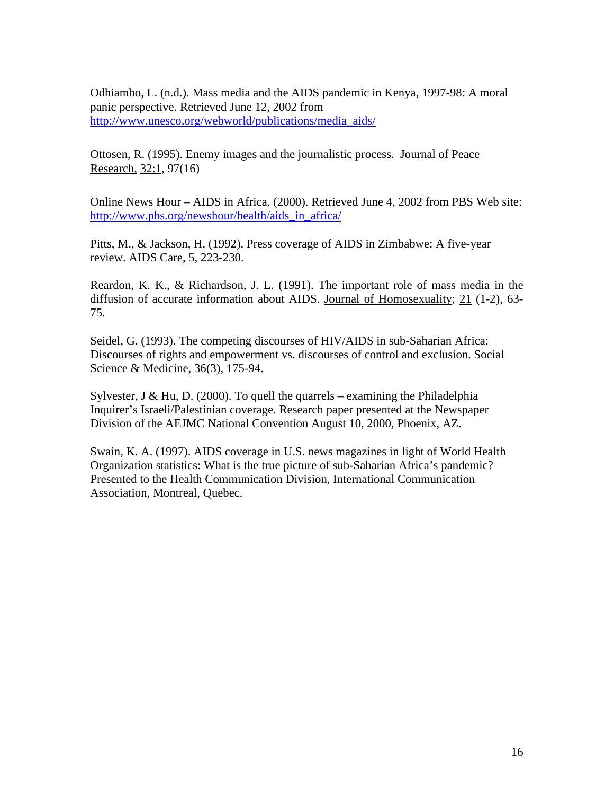Odhiambo, L. (n.d.). Mass media and the AIDS pandemic in Kenya, 1997-98: A moral panic perspective. Retrieved June 12, 2002 from http://www.unesco.org/webworld/publications/media\_aids/

Ottosen, R. (1995). Enemy images and the journalistic process. Journal of Peace Research, 32:1, 97(16)

Online News Hour – AIDS in Africa. (2000). Retrieved June 4, 2002 from PBS Web site: http://www.pbs.org/newshour/health/aids\_in\_africa/

Pitts, M., & Jackson, H. (1992). Press coverage of AIDS in Zimbabwe: A five-year review. AIDS Care, 5, 223-230.

Reardon, K. K., & Richardson, J. L. (1991). The important role of mass media in the diffusion of accurate information about AIDS. Journal of Homosexuality; 21 (1-2), 63- 75.

Seidel, G. (1993). The competing discourses of HIV/AIDS in sub-Saharian Africa: Discourses of rights and empowerment vs. discourses of control and exclusion. Social Science & Medicine, 36(3), 175-94.

Sylvester, J & Hu, D. (2000). To quell the quarrels – examining the Philadelphia Inquirer's Israeli/Palestinian coverage. Research paper presented at the Newspaper Division of the AEJMC National Convention August 10, 2000, Phoenix, AZ.

Swain, K. A. (1997). AIDS coverage in U.S. news magazines in light of World Health Organization statistics: What is the true picture of sub-Saharian Africa's pandemic? Presented to the Health Communication Division, International Communication Association, Montreal, Quebec.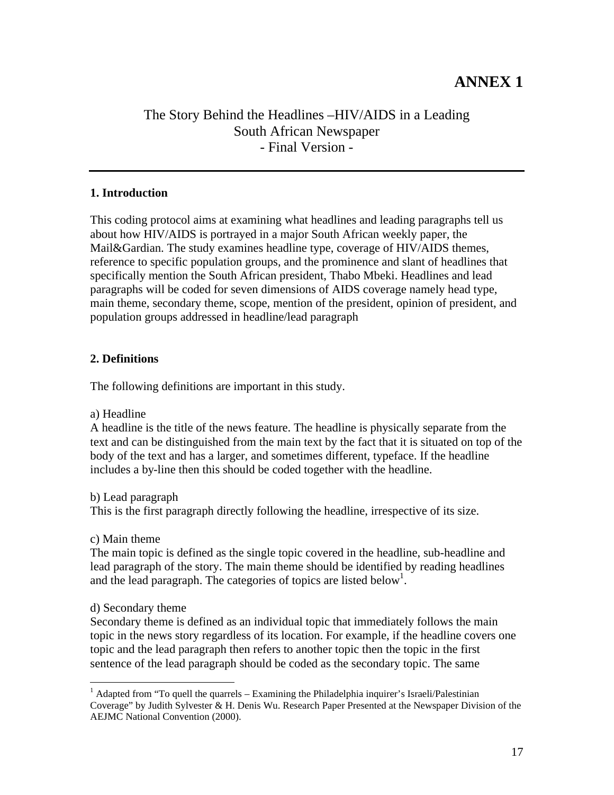# **ANNEX 1**

# The Story Behind the Headlines –HIV/AIDS in a Leading South African Newspaper - Final Version -

# **1. Introduction**

This coding protocol aims at examining what headlines and leading paragraphs tell us about how HIV/AIDS is portrayed in a major South African weekly paper, the Mail&Gardian. The study examines headline type, coverage of HIV/AIDS themes, reference to specific population groups, and the prominence and slant of headlines that specifically mention the South African president, Thabo Mbeki. Headlines and lead paragraphs will be coded for seven dimensions of AIDS coverage namely head type, main theme, secondary theme, scope, mention of the president, opinion of president, and population groups addressed in headline/lead paragraph

# **2. Definitions**

The following definitions are important in this study.

a) Headline

A headline is the title of the news feature. The headline is physically separate from the text and can be distinguished from the main text by the fact that it is situated on top of the body of the text and has a larger, and sometimes different, typeface. If the headline includes a by-line then this should be coded together with the headline.

b) Lead paragraph

This is the first paragraph directly following the headline, irrespective of its size.

c) Main theme

The main topic is defined as the single topic covered in the headline, sub-headline and lead paragraph of the story. The main theme should be identified by reading headlines and the lead paragraph. The categories of topics are listed below<sup>1</sup>.

# d) Secondary theme

1

Secondary theme is defined as an individual topic that immediately follows the main topic in the news story regardless of its location. For example, if the headline covers one topic and the lead paragraph then refers to another topic then the topic in the first sentence of the lead paragraph should be coded as the secondary topic. The same

<sup>&</sup>lt;sup>1</sup> Adapted from "To quell the quarrels – Examining the Philadelphia inquirer's Israeli/Palestinian Coverage" by Judith Sylvester & H. Denis Wu. Research Paper Presented at the Newspaper Division of the AEJMC National Convention (2000).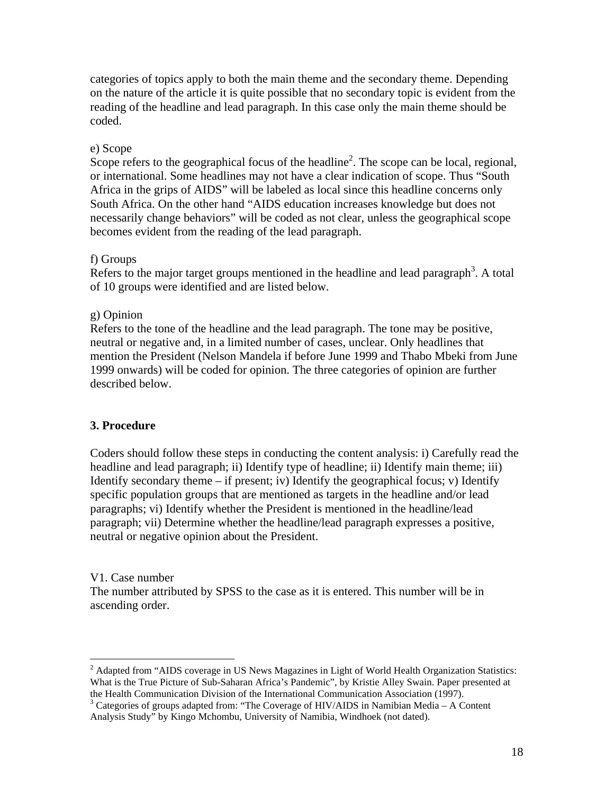categories of topics apply to both the main theme and the secondary theme. Depending on the nature of the article it is quite possible that no secondary topic is evident from the reading of the headline and lead paragraph. In this case only the main theme should be coded.

# e) Scope

Scope refers to the geographical focus of the headline<sup>2</sup>. The scope can be local, regional, or international. Some headlines may not have a clear indication of scope. Thus "South Africa in the grips of AIDS" will be labeled as local since this headline concerns only South Africa. On the other hand "AIDS education increases knowledge but does not necessarily change behaviors" will be coded as not clear, unless the geographical scope becomes evident from the reading of the lead paragraph.

# f) Groups

Refers to the major target groups mentioned in the headline and lead paragraph<sup>3</sup>. A total of 10 groups were identified and are listed below.

# g) Opinion

Refers to the tone of the headline and the lead paragraph. The tone may be positive, neutral or negative and, in a limited number of cases, unclear. Only headlines that mention the President (Nelson Mandela if before June 1999 and Thabo Mbeki from June 1999 onwards) will be coded for opinion. The three categories of opinion are further described below.

# **3. Procedure**

Coders should follow these steps in conducting the content analysis: i) Carefully read the headline and lead paragraph; ii) Identify type of headline; ii) Identify main theme; iii) Identify secondary theme  $-$  if present; iv) Identify the geographical focus; v) Identify specific population groups that are mentioned as targets in the headline and/or lead paragraphs; vi) Identify whether the President is mentioned in the headline/lead paragraph; vii) Determine whether the headline/lead paragraph expresses a positive, neutral or negative opinion about the President.

#### V1. Case number

1

The number attributed by SPSS to the case as it is entered. This number will be in ascending order.

 $2$  Adapted from "AIDS coverage in US News Magazines in Light of World Health Organization Statistics: What is the True Picture of Sub-Saharan Africa's Pandemic", by Kristie Alley Swain. Paper presented at the Health Communication Division of the International Communication Association (1997).

 $3$  Categories of groups adapted from: "The Coverage of HIV/AIDS in Namibian Media – A Content Analysis Study" by Kingo Mchombu, University of Namibia, Windhoek (not dated).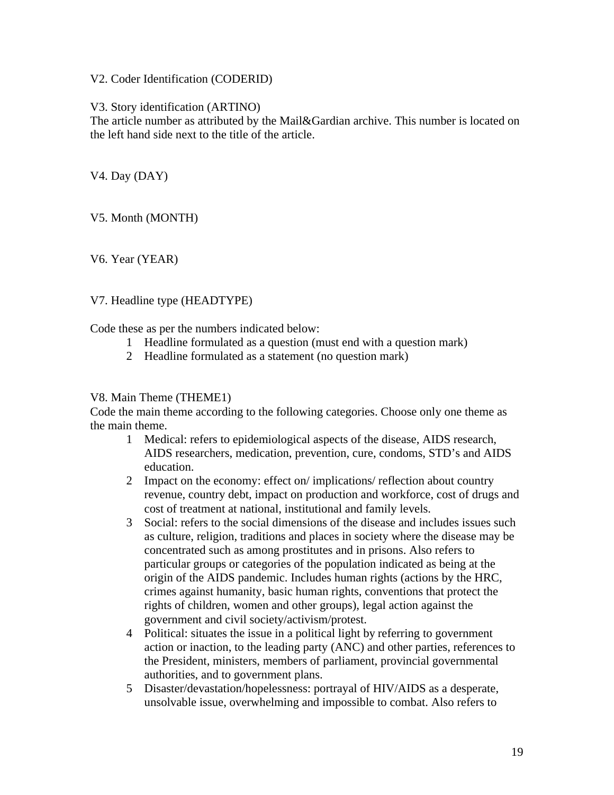V2. Coder Identification (CODERID)

V3. Story identification (ARTINO)

The article number as attributed by the Mail&Gardian archive. This number is located on the left hand side next to the title of the article.

V4. Day (DAY)

V5. Month (MONTH)

V6. Year (YEAR)

#### V7. Headline type (HEADTYPE)

Code these as per the numbers indicated below:

- 1 Headline formulated as a question (must end with a question mark)
- 2 Headline formulated as a statement (no question mark)

#### V8. Main Theme (THEME1)

Code the main theme according to the following categories. Choose only one theme as the main theme.

- 1 Medical: refers to epidemiological aspects of the disease, AIDS research, AIDS researchers, medication, prevention, cure, condoms, STD's and AIDS education.
- 2 Impact on the economy: effect on/ implications/ reflection about country revenue, country debt, impact on production and workforce, cost of drugs and cost of treatment at national, institutional and family levels.
- 3 Social: refers to the social dimensions of the disease and includes issues such as culture, religion, traditions and places in society where the disease may be concentrated such as among prostitutes and in prisons. Also refers to particular groups or categories of the population indicated as being at the origin of the AIDS pandemic. Includes human rights (actions by the HRC, crimes against humanity, basic human rights, conventions that protect the rights of children, women and other groups), legal action against the government and civil society/activism/protest.
- 4 Political: situates the issue in a political light by referring to government action or inaction, to the leading party (ANC) and other parties, references to the President, ministers, members of parliament, provincial governmental authorities, and to government plans.
- 5 Disaster/devastation/hopelessness: portrayal of HIV/AIDS as a desperate, unsolvable issue, overwhelming and impossible to combat. Also refers to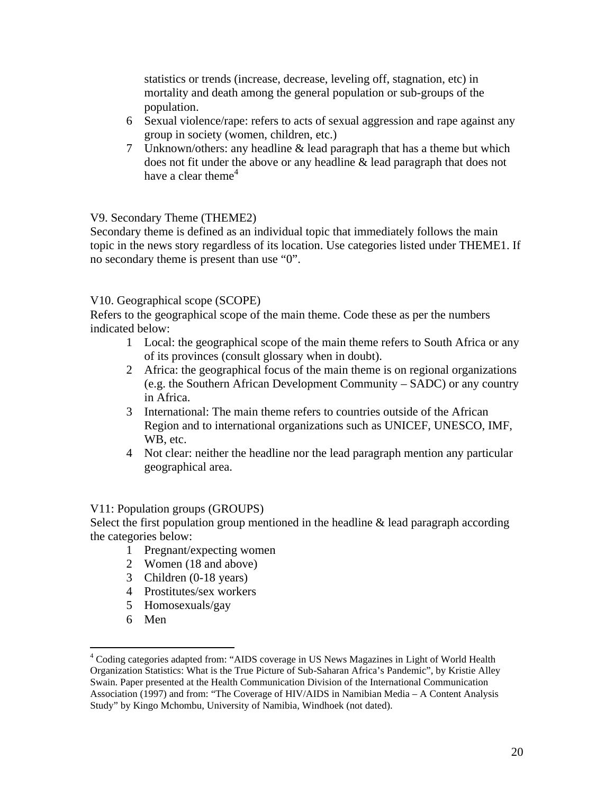statistics or trends (increase, decrease, leveling off, stagnation, etc) in mortality and death among the general population or sub-groups of the population.

- 6 Sexual violence/rape: refers to acts of sexual aggression and rape against any group in society (women, children, etc.)
- 7 Unknown/others: any headline & lead paragraph that has a theme but which does not fit under the above or any headline & lead paragraph that does not have a clear theme<sup>4</sup>

# V9. Secondary Theme (THEME2)

Secondary theme is defined as an individual topic that immediately follows the main topic in the news story regardless of its location. Use categories listed under THEME1. If no secondary theme is present than use "0".

#### V10. Geographical scope (SCOPE)

Refers to the geographical scope of the main theme. Code these as per the numbers indicated below:

- 1 Local: the geographical scope of the main theme refers to South Africa or any of its provinces (consult glossary when in doubt).
- 2 Africa: the geographical focus of the main theme is on regional organizations (e.g. the Southern African Development Community – SADC) or any country in Africa.
- 3 International: The main theme refers to countries outside of the African Region and to international organizations such as UNICEF, UNESCO, IMF, WB, etc.
- 4 Not clear: neither the headline nor the lead paragraph mention any particular geographical area.

#### V11: Population groups (GROUPS)

Select the first population group mentioned in the headline  $\&$  lead paragraph according the categories below:

- 1 Pregnant/expecting women
- 2 Women (18 and above)
- 3 Children (0-18 years)
- 4 Prostitutes/sex workers
- 5 Homosexuals/gay
- 6 Men

<u>.</u>

<sup>&</sup>lt;sup>4</sup> Coding categories adapted from: "AIDS coverage in US News Magazines in Light of World Health Organization Statistics: What is the True Picture of Sub-Saharan Africa's Pandemic", by Kristie Alley Swain. Paper presented at the Health Communication Division of the International Communication Association (1997) and from: "The Coverage of HIV/AIDS in Namibian Media – A Content Analysis Study" by Kingo Mchombu, University of Namibia, Windhoek (not dated).